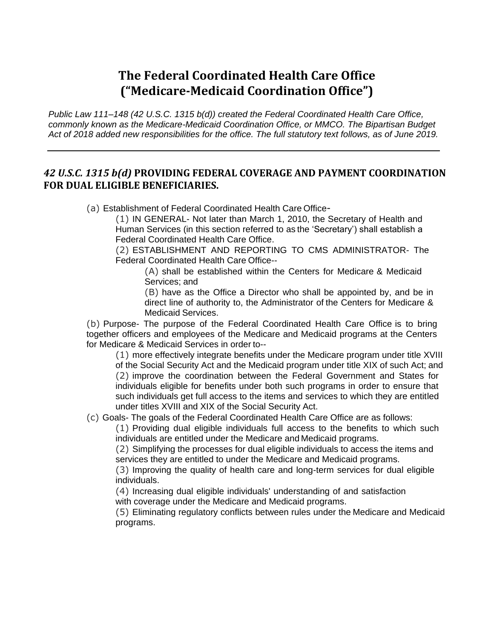## **The Federal Coordinated Health Care Office ("Medicare-Medicaid Coordination Office")**

*Public Law 111–148 (42 U.S.C. 1315 b(d)) created the Federal Coordinated Health Care Office, commonly known as the Medicare-Medicaid Coordination Office, or MMCO. The Bipartisan Budget Act of 2018 added new responsibilities for the office. The full statutory text follows, as of June 2019.*

## *42 U.S.C. 1315 b(d)* **PROVIDING FEDERAL COVERAGE AND PAYMENT COORDINATION FOR DUAL ELIGIBLE BENEFICIARIES.**

(a) Establishment of Federal Coordinated Health Care Office-

(1) IN GENERAL- Not later than March 1, 2010, the Secretary of Health and Human Services (in this section referred to as the 'Secretary') shall establish a Federal Coordinated Health Care Office.

(2) ESTABLISHMENT AND REPORTING TO CMS ADMINISTRATOR- The Federal Coordinated Health Care Office--

(A) shall be established within the Centers for Medicare & Medicaid Services; and

(B) have as the Office a Director who shall be appointed by, and be in direct line of authority to, the Administrator of the Centers for Medicare & Medicaid Services.

(b) Purpose- The purpose of the Federal Coordinated Health Care Office is to bring together officers and employees of the Medicare and Medicaid programs at the Centers for Medicare & Medicaid Services in order to--

(1) more effectively integrate benefits under the Medicare program under title XVIII of the Social Security Act and the Medicaid program under title XIX of such Act; and (2) improve the coordination between the Federal Government and States for individuals eligible for benefits under both such programs in order to ensure that such individuals get full access to the items and services to which they are entitled under titles XVIII and XIX of the Social Security Act.

(c) Goals- The goals of the Federal Coordinated Health Care Office are as follows:

(1) Providing dual eligible individuals full access to the benefits to which such individuals are entitled under the Medicare and Medicaid programs.

(2) Simplifying the processes for dual eligible individuals to access the items and services they are entitled to under the Medicare and Medicaid programs.

(3) Improving the quality of health care and long-term services for dual eligible individuals.

(4) Increasing dual eligible individuals' understanding of and satisfaction

with coverage under the Medicare and Medicaid programs.

(5) Eliminating regulatory conflicts between rules under the Medicare and Medicaid programs.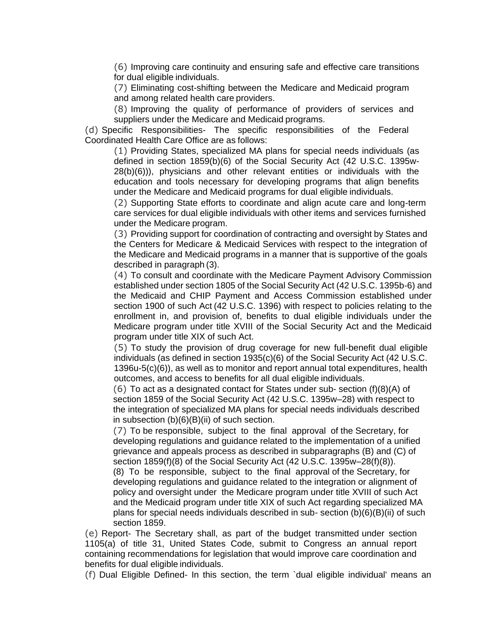(6) Improving care continuity and ensuring safe and effective care transitions for dual eligible individuals.

(7) Eliminating cost-shifting between the Medicare and Medicaid program and among related health care providers.

(8) Improving the quality of performance of providers of services and suppliers under the Medicare and Medicaid programs.

(d) Specific Responsibilities- The specific responsibilities of the Federal Coordinated Health Care Office are as follows:

(1) Providing States, specialized MA plans for special needs individuals (as defined in section 1859(b)(6) of the Social Security Act (42 U.S.C. 1395w-28(b)(6))), physicians and other relevant entities or individuals with the education and tools necessary for developing programs that align benefits under the Medicare and Medicaid programs for dual eligible individuals.

(2) Supporting State efforts to coordinate and align acute care and long-term care services for dual eligible individuals with other items and services furnished under the Medicare program.

(3) Providing support for coordination of contracting and oversight by States and the Centers for Medicare & Medicaid Services with respect to the integration of the Medicare and Medicaid programs in a manner that is supportive of the goals described in paragraph (3).

(4) To consult and coordinate with the Medicare Payment Advisory Commission established under section 1805 of the Social Security Act (42 U.S.C. 1395b-6) and the Medicaid and CHIP Payment and Access Commission established under section 1900 of such Act (42 U.S.C. 1396) with respect to policies relating to the enrollment in, and provision of, benefits to dual eligible individuals under the Medicare program under title XVIII of the Social Security Act and the Medicaid program under title XIX of such Act.

(5) To study the provision of drug coverage for new full-benefit dual eligible individuals (as defined in section 1935(c)(6) of the Social Security Act (42 U.S.C. 1396u-5(c)(6)), as well as to monitor and report annual total expenditures, health outcomes, and access to benefits for all dual eligible individuals.

(6) To act as a designated contact for States under sub- section (f)(8)(A) of section 1859 of the Social Security Act (42 U.S.C. 1395w–28) with respect to the integration of specialized MA plans for special needs individuals described in subsection (b)(6)(B)(ii) of such section.

(7) To be responsible, subject to the final approval of the Secretary, for developing regulations and guidance related to the implementation of a unified grievance and appeals process as described in subparagraphs (B) and (C) of section 1859(f)(8) of the Social Security Act (42 U.S.C. 1395w–28(f)(8)).

(8) To be responsible, subject to the final approval of the Secretary, for developing regulations and guidance related to the integration or alignment of policy and oversight under the Medicare program under title XVIII of such Act and the Medicaid program under title XIX of such Act regarding specialized MA plans for special needs individuals described in sub- section (b)(6)(B)(ii) of such section 1859.

(e) Report- The Secretary shall, as part of the budget transmitted under section 1105(a) of title 31, United States Code, submit to Congress an annual report containing recommendations for legislation that would improve care coordination and benefits for dual eligible individuals.

(f) Dual Eligible Defined- In this section, the term `dual eligible individual' means an